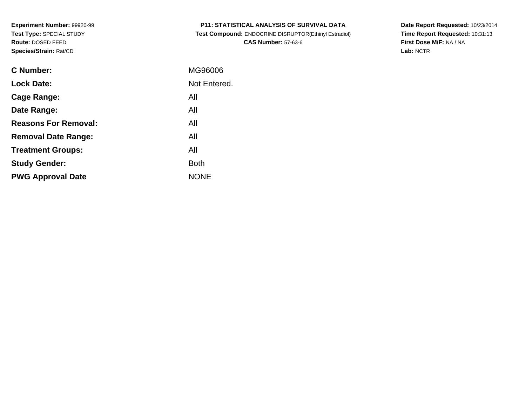| <b>P11: STATISTICAL ANALYSIS OF SURVIVAL DATA</b> |  |
|---------------------------------------------------|--|
|---------------------------------------------------|--|

 **Test Compound:** ENDOCRINE DISRUPTOR(Ethinyl Estradiol)**CAS Number:** 57-63-6

**Date Report Requested:** 10/23/2014 **Time Report Requested:** 10:31:13**First Dose M/F:** NA / NA**Lab:** NCTR

| C Number:                   | MG96006      |
|-----------------------------|--------------|
| <b>Lock Date:</b>           | Not Entered. |
| Cage Range:                 | All          |
| Date Range:                 | All          |
| <b>Reasons For Removal:</b> | All          |
| <b>Removal Date Range:</b>  | All          |
| <b>Treatment Groups:</b>    | All          |
| <b>Study Gender:</b>        | <b>Both</b>  |
| <b>PWG Approval Date</b>    | <b>NONE</b>  |
|                             |              |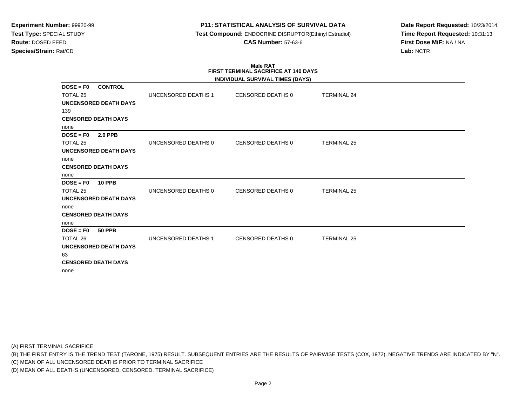# **P11: STATISTICAL ANALYSIS OF SURVIVAL DATA**

 **Test Compound:** ENDOCRINE DISRUPTOR(Ethinyl Estradiol)**CAS Number:** 57-63-6

**Date Report Requested:** 10/23/2014**Time Report Requested:** 10:31:13**First Dose M/F:** NA / NA**Lab:** NCTR

#### **Male RAT FIRST TERMINAL SACRIFICE AT 140 DAYSINDIVIDUAL SURVIVAL TIMES (DAYS)**

|                                                  |                     | INDIVIDUAL SURVIVAL TIMES (DAYS) |                    |
|--------------------------------------------------|---------------------|----------------------------------|--------------------|
| <b>CONTROL</b><br>$DOSE = F0$<br><b>TOTAL 25</b> | UNCENSORED DEATHS 1 | CENSORED DEATHS 0                | <b>TERMINAL 24</b> |
|                                                  |                     |                                  |                    |
| <b>UNCENSORED DEATH DAYS</b>                     |                     |                                  |                    |
| 139                                              |                     |                                  |                    |
| <b>CENSORED DEATH DAYS</b>                       |                     |                                  |                    |
| none                                             |                     |                                  |                    |
| <b>2.0 PPB</b><br>$DOSE = F0$                    |                     |                                  |                    |
| <b>TOTAL 25</b>                                  | UNCENSORED DEATHS 0 | <b>CENSORED DEATHS 0</b>         | <b>TERMINAL 25</b> |
| UNCENSORED DEATH DAYS                            |                     |                                  |                    |
| none                                             |                     |                                  |                    |
| <b>CENSORED DEATH DAYS</b>                       |                     |                                  |                    |
| none                                             |                     |                                  |                    |
| $DOSE = F0$<br><b>10 PPB</b>                     |                     |                                  |                    |
| <b>TOTAL 25</b>                                  | UNCENSORED DEATHS 0 | CENSORED DEATHS 0                | <b>TERMINAL 25</b> |
| <b>UNCENSORED DEATH DAYS</b>                     |                     |                                  |                    |
| none                                             |                     |                                  |                    |
| <b>CENSORED DEATH DAYS</b>                       |                     |                                  |                    |
| none                                             |                     |                                  |                    |
| $DOSE = F0$<br><b>50 PPB</b>                     |                     |                                  |                    |
| TOTAL 26                                         | UNCENSORED DEATHS 1 | <b>CENSORED DEATHS 0</b>         | <b>TERMINAL 25</b> |
| <b>UNCENSORED DEATH DAYS</b>                     |                     |                                  |                    |
| 63                                               |                     |                                  |                    |
| <b>CENSORED DEATH DAYS</b>                       |                     |                                  |                    |
| none                                             |                     |                                  |                    |
|                                                  |                     |                                  |                    |

(A) FIRST TERMINAL SACRIFICE

(B) THE FIRST ENTRY IS THE TREND TEST (TARONE, 1975) RESULT. SUBSEQUENT ENTRIES ARE THE RESULTS OF PAIRWISE TESTS (COX, 1972). NEGATIVE TRENDS ARE INDICATED BY "N".

(C) MEAN OF ALL UNCENSORED DEATHS PRIOR TO TERMINAL SACRIFICE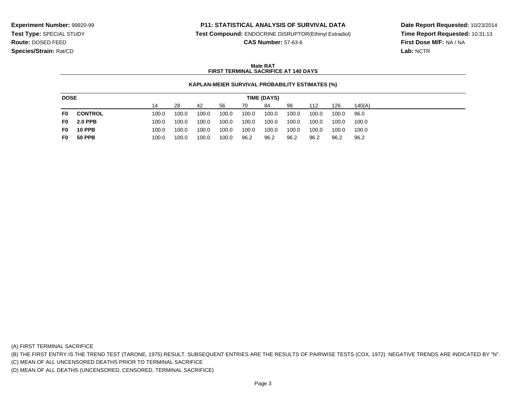### **P11: STATISTICAL ANALYSIS OF SURVIVAL DATA**

**Test Compound:** ENDOCRINE DISRUPTOR(Ethinyl Estradiol)

**CAS Number:** 57-63-6

**Date Report Requested:** 10/23/2014**Time Report Requested:** 10:31:13**First Dose M/F:** NA / NA**Lab:** NCTR

### **Male RATFIRST TERMINAL SACRIFICE AT 140 DAYS**

#### **KAPLAN-MEIER SURVIVAL PROBABILITY ESTIMATES (%)**

| <b>DOSE</b><br>TIME (DAYS) |                |       |       |       |       |       |       |       |       |       |        |
|----------------------------|----------------|-------|-------|-------|-------|-------|-------|-------|-------|-------|--------|
|                            |                | 14    | 28    | 42    | 56    | 70    | 84    | 98    | 112   | 126   | 140(A) |
| F0.                        | <b>CONTROL</b> | 100.0 | 100.0 | 100.0 | 100.0 | 100.0 | 100.0 | 100.0 | 100.0 | 100.0 | 96.0   |
| F0 I                       | <b>2.0 PPB</b> | 100.0 | 100.0 | 100.0 | 100.0 | 100.0 | 100.0 | 100.0 | 100.0 | 100.0 | 100.0  |
| F0.                        | <b>10 PPB</b>  | 100.0 | 100.0 | 100.0 | 100.0 | 100.0 | 100.0 | 100.0 | 100.0 | 100.0 | 100.0  |
| F0.                        | <b>50 PPB</b>  | 100.0 | 100.0 | 100.0 | 100.0 | 96.2  | 96.2  | 96.2  | 96.2  | 96.2  | 96.2   |

(A) FIRST TERMINAL SACRIFICE

(B) THE FIRST ENTRY IS THE TREND TEST (TARONE, 1975) RESULT. SUBSEQUENT ENTRIES ARE THE RESULTS OF PAIRWISE TESTS (COX, 1972). NEGATIVE TRENDS ARE INDICATED BY "N".

(C) MEAN OF ALL UNCENSORED DEATHS PRIOR TO TERMINAL SACRIFICE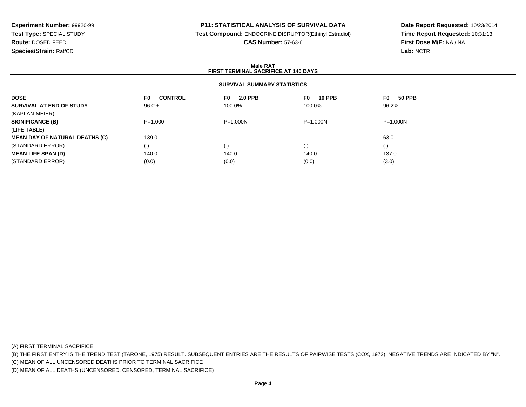## **P11: STATISTICAL ANALYSIS OF SURVIVAL DATA**

**Test Compound:** ENDOCRINE DISRUPTOR(Ethinyl Estradiol)

**CAS Number:** 57-63-6

**Date Report Requested:** 10/23/2014**Time Report Requested:** 10:31:13**First Dose M/F:** NA / NA**Lab:** NCTR

#### **Male RATFIRST TERMINAL SACRIFICE AT 140 DAYS**

### **SURVIVAL SUMMARY STATISTICS**

| <b>DOSE</b>                           | <b>CONTROL</b><br>F0 | 2.0 PPB<br>F0 I    | <b>10 PPB</b><br>F0 I | <b>50 PPB</b><br>F0 |  |
|---------------------------------------|----------------------|--------------------|-----------------------|---------------------|--|
| SURVIVAL AT END OF STUDY              | 96.0%                | 100.0%             | 100.0%                | 96.2%               |  |
| (KAPLAN-MEIER)                        |                      |                    |                       |                     |  |
| <b>SIGNIFICANCE (B)</b>               | $P = 1.000$          | $P = 1.000N$       | $P = 1.000N$          | $P = 1.000N$        |  |
| (LIFE TABLE)                          |                      |                    |                       |                     |  |
| <b>MEAN DAY OF NATURAL DEATHS (C)</b> | 139.0                |                    |                       | 63.0                |  |
| (STANDARD ERROR)                      | (.)                  | $\left( . \right)$ | $\left( . \right)$    | (.)                 |  |
| <b>MEAN LIFE SPAN (D)</b>             | 140.0                | 140.0              | 140.0                 | 137.0               |  |
| (STANDARD ERROR)                      | (0.0)                | (0.0)              | (0.0)                 | (3.0)               |  |

(A) FIRST TERMINAL SACRIFICE

(B) THE FIRST ENTRY IS THE TREND TEST (TARONE, 1975) RESULT. SUBSEQUENT ENTRIES ARE THE RESULTS OF PAIRWISE TESTS (COX, 1972). NEGATIVE TRENDS ARE INDICATED BY "N".

(C) MEAN OF ALL UNCENSORED DEATHS PRIOR TO TERMINAL SACRIFICE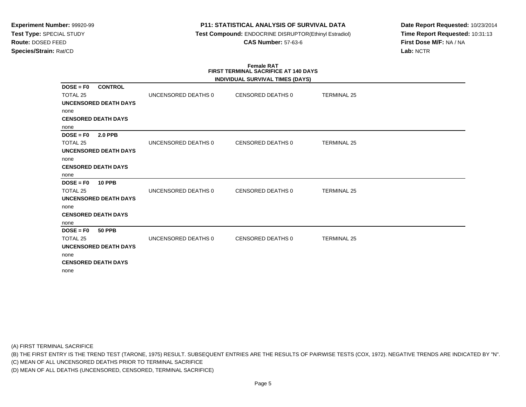### **P11: STATISTICAL ANALYSIS OF SURVIVAL DATA**

 **Test Compound:** ENDOCRINE DISRUPTOR(Ethinyl Estradiol)**CAS Number:** 57-63-6

**Date Report Requested:** 10/23/2014**Time Report Requested:** 10:31:13**First Dose M/F:** NA / NA**Lab:** NCTR

#### **Female RAT FIRST TERMINAL SACRIFICE AT 140 DAYSINDIVIDUAL SURVIVAL TIMES (DAYS)**

|                               |                     | INDIVIDUAL SURVIVAL TIMES (DAYS) |                    |  |
|-------------------------------|---------------------|----------------------------------|--------------------|--|
| <b>CONTROL</b><br>$DOSE = F0$ |                     |                                  |                    |  |
| TOTAL <sub>25</sub>           | UNCENSORED DEATHS 0 | CENSORED DEATHS 0                | <b>TERMINAL 25</b> |  |
| UNCENSORED DEATH DAYS         |                     |                                  |                    |  |
| none                          |                     |                                  |                    |  |
| <b>CENSORED DEATH DAYS</b>    |                     |                                  |                    |  |
| none                          |                     |                                  |                    |  |
| $DOSE = F0$<br><b>2.0 PPB</b> |                     |                                  |                    |  |
| TOTAL 25                      | UNCENSORED DEATHS 0 | CENSORED DEATHS 0                | <b>TERMINAL 25</b> |  |
| UNCENSORED DEATH DAYS         |                     |                                  |                    |  |
| none                          |                     |                                  |                    |  |
| <b>CENSORED DEATH DAYS</b>    |                     |                                  |                    |  |
| none                          |                     |                                  |                    |  |
| $DOSE = F0$<br><b>10 PPB</b>  |                     |                                  |                    |  |
| TOTAL 25                      | UNCENSORED DEATHS 0 | CENSORED DEATHS 0                | <b>TERMINAL 25</b> |  |
| <b>UNCENSORED DEATH DAYS</b>  |                     |                                  |                    |  |
| none                          |                     |                                  |                    |  |
| <b>CENSORED DEATH DAYS</b>    |                     |                                  |                    |  |
| none                          |                     |                                  |                    |  |
| $DOSE = F0$<br><b>50 PPB</b>  |                     |                                  |                    |  |
| TOTAL 25                      | UNCENSORED DEATHS 0 | CENSORED DEATHS 0                | <b>TERMINAL 25</b> |  |
| <b>UNCENSORED DEATH DAYS</b>  |                     |                                  |                    |  |
| none                          |                     |                                  |                    |  |
| <b>CENSORED DEATH DAYS</b>    |                     |                                  |                    |  |
| none                          |                     |                                  |                    |  |
|                               |                     |                                  |                    |  |

(A) FIRST TERMINAL SACRIFICE

(B) THE FIRST ENTRY IS THE TREND TEST (TARONE, 1975) RESULT. SUBSEQUENT ENTRIES ARE THE RESULTS OF PAIRWISE TESTS (COX, 1972). NEGATIVE TRENDS ARE INDICATED BY "N".

(C) MEAN OF ALL UNCENSORED DEATHS PRIOR TO TERMINAL SACRIFICE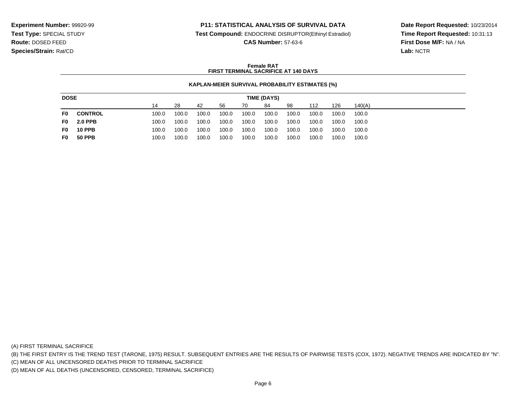### **P11: STATISTICAL ANALYSIS OF SURVIVAL DATA**

**Test Compound:** ENDOCRINE DISRUPTOR(Ethinyl Estradiol)

**CAS Number:** 57-63-6

**Date Report Requested:** 10/23/2014**Time Report Requested:** 10:31:13**First Dose M/F:** NA / NA**Lab:** NCTR

### **Female RATFIRST TERMINAL SACRIFICE AT 140 DAYS**

#### **KAPLAN-MEIER SURVIVAL PROBABILITY ESTIMATES (%)**

| <b>DOSE</b><br>TIME (DAYS) |                |       |       |       |       |       |       |       |       |       |        |
|----------------------------|----------------|-------|-------|-------|-------|-------|-------|-------|-------|-------|--------|
|                            |                | 14    | 28    | 42    | 56    | 70    | 84    | 98    | 112   | 126   | 140(A) |
| F0                         | <b>CONTROL</b> | 100.0 | 100.0 | 100.0 | 100.0 | 100.0 | 100.0 | 100.0 | 100.0 | 100.0 | 100.0  |
| F0.                        | <b>2.0 PPB</b> | 100.0 | 100.0 | 100.0 | 100.0 | 100.0 | 100.0 | 100.0 | 100.0 | 100.0 | 100.0  |
| F0                         | <b>10 PPB</b>  | 100.0 | 100.0 | 100.0 | 100.0 | 100.0 | 100.0 | 100.0 | 100.0 | 100.0 | 100.0  |
| F0                         | 50 PPB         | 100.0 | 100.0 | 100.0 | 100.0 | 100.0 | 100.0 | 100.0 | 100.0 | 100.0 | 100.0  |

(A) FIRST TERMINAL SACRIFICE

(B) THE FIRST ENTRY IS THE TREND TEST (TARONE, 1975) RESULT. SUBSEQUENT ENTRIES ARE THE RESULTS OF PAIRWISE TESTS (COX, 1972). NEGATIVE TRENDS ARE INDICATED BY "N".

(C) MEAN OF ALL UNCENSORED DEATHS PRIOR TO TERMINAL SACRIFICE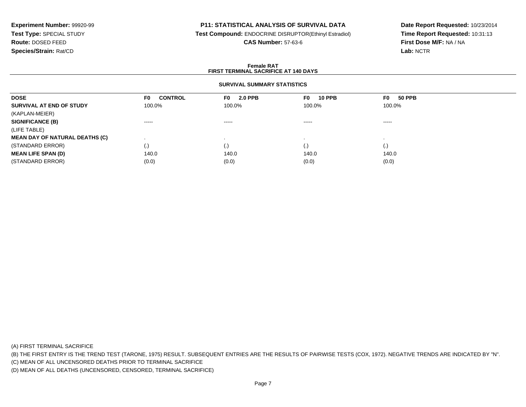### **P11: STATISTICAL ANALYSIS OF SURVIVAL DATA**

**Test Compound:** ENDOCRINE DISRUPTOR(Ethinyl Estradiol)

**CAS Number:** 57-63-6

**Date Report Requested:** 10/23/2014**Time Report Requested:** 10:31:13**First Dose M/F:** NA / NA**Lab:** NCTR

#### **Female RATFIRST TERMINAL SACRIFICE AT 140 DAYS**

### **SURVIVAL SUMMARY STATISTICS**

| <b>DOSE</b>                           | <b>CONTROL</b><br>F0   | <b>2.0 PPB</b><br>F0 I | <b>10 PPB</b><br>F0 | <b>50 PPB</b><br>F0 |  |
|---------------------------------------|------------------------|------------------------|---------------------|---------------------|--|
| SURVIVAL AT END OF STUDY              | 100.0%                 | 100.0%                 | 100.0%              | 100.0%              |  |
| (KAPLAN-MEIER)                        |                        |                        |                     |                     |  |
| <b>SIGNIFICANCE (B)</b>               | $\cdots \cdots \cdots$ | $\cdots \cdots \cdots$ | -----               | -----               |  |
| (LIFE TABLE)                          |                        |                        |                     |                     |  |
| <b>MEAN DAY OF NATURAL DEATHS (C)</b> |                        |                        |                     |                     |  |
| (STANDARD ERROR)                      | $\cdot$                | $\cdot$ ,              | (.)                 | $\left( . \right)$  |  |
| <b>MEAN LIFE SPAN (D)</b>             | 140.0                  | 140.0                  | 140.0               | 140.0               |  |
| (STANDARD ERROR)                      | (0.0)                  | (0.0)                  | (0.0)               | (0.0)               |  |

(A) FIRST TERMINAL SACRIFICE

(B) THE FIRST ENTRY IS THE TREND TEST (TARONE, 1975) RESULT. SUBSEQUENT ENTRIES ARE THE RESULTS OF PAIRWISE TESTS (COX, 1972). NEGATIVE TRENDS ARE INDICATED BY "N".

(C) MEAN OF ALL UNCENSORED DEATHS PRIOR TO TERMINAL SACRIFICE